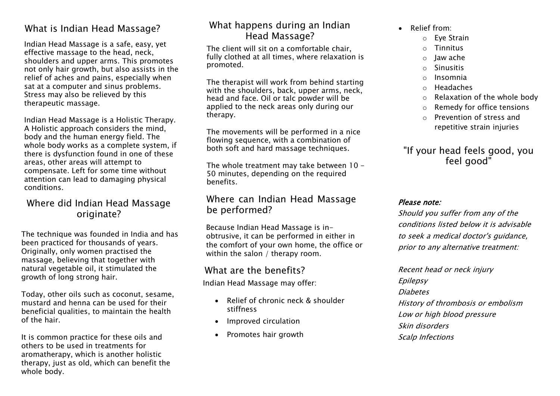## What is Indian Head Massage?

Indian Head Massage is a safe, easy, yet effective massage to the head, neck, shoulders and upper arms. This promotes not only hair growth, but also assists in the relief of aches and pains, especially when sat at a computer and sinus problems. Stress may also be relieved by this therapeutic massage.

Indian Head Massage is a Holistic Therapy. A Holistic approach considers the mind, body and the human energy field. The whole body works as a complete system, if there is dysfunction found in one of these areas, other areas will attempt to compensate. Left for some time without attention can lead to damaging physical conditions.

# Where did Indian Head Massage originate?

The technique was founded in India and has been practiced for thousands of years. Originally, only women practised the massage, believing that together with natural vegetable oil, it stimulated the growth of long strong hair.

Today, other oils such as coconut, sesame, mustard and henna can be used for their beneficial qualities, to maintain the health of the hair.

It is common practice for these oils and others to be used in treatments for aromatherapy, which is another holistic therapy, just as old, which can benefit the whole body.

# What happens during an Indian Head Massage?

The client will sit on a comfortable chair, fully clothed at all times, where relaxation is promoted.

The therapist will work from behind starting with the shoulders, back, upper arms, neck, head and face. Oil or talc powder will be applied to the neck areas only during our therapy.

The movements will be performed in a nice flowing sequence, with a combination of both soft and hard massage techniques.

The whole treatment may take between 10 - 50 minutes, depending on the required benefits.

## Where can Indian Head Massage be performed?

Because Indian Head Massage is inobtrusive, it can be performed in either in the comfort of your own home, the office or within the salon / therapy room.

## What are the benefits?

Indian Head Massage may offer:

- Relief of chronic neck & shoulder stiffness
- Improved circulation
- Promotes hair growth
- Relief from:
	- o Eye Strain
	- o Tinnitus
	- o Jaw ache
	- o Sinusitis
	- o Insomnia
	- o Headaches
	- o Relaxation of the whole body
	- $\circ$  Remedy for office tensions
	- o Prevention of stress and repetitive strain injuries

# "If your head feels good, you feel good"

#### Please note:

Should you suffer from any of the conditions listed below it is advisable to seek a medical doctor's guidance, prior to any alternative treatment:

Recent head or neck injury Epilepsy **Diabetes** History of thrombosis or embolism Low or high blood pressure Skin disorders Scalp Infections